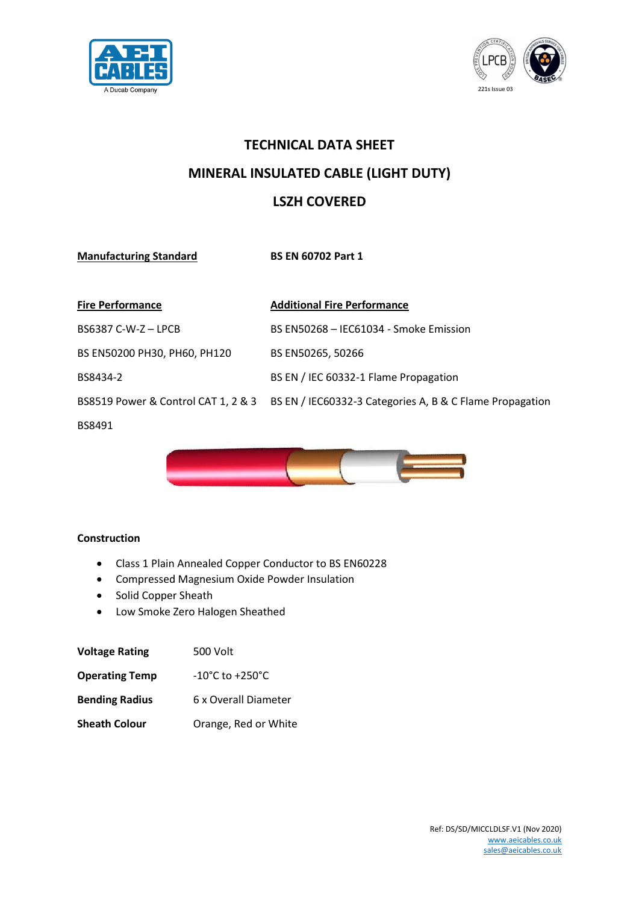



## **TECHNICAL DATA SHEET MINERAL INSULATED CABLE (LIGHT DUTY) LSZH COVERED**

**Manufacturing Standard BS EN 60702 Part 1**

| <b>Fire Performance</b>             | <b>Additional Fire Performance</b>                       |
|-------------------------------------|----------------------------------------------------------|
| BS6387 C-W-Z-LPCB                   | BS EN50268 - IEC61034 - Smoke Emission                   |
| BS EN50200 PH30, PH60, PH120        | BS EN50265, 50266                                        |
| BS8434-2                            | BS EN / IEC 60332-1 Flame Propagation                    |
| BS8519 Power & Control CAT 1, 2 & 3 | BS EN / IEC60332-3 Categories A, B & C Flame Propagation |
| BS8491                              |                                                          |



## **Construction**

- Class 1 Plain Annealed Copper Conductor to BS EN60228
- Compressed Magnesium Oxide Powder Insulation
- Solid Copper Sheath
- Low Smoke Zero Halogen Sheathed

| <b>Voltage Rating</b> | 500 Volt                            |  |  |  |  |
|-----------------------|-------------------------------------|--|--|--|--|
| <b>Operating Temp</b> | $-10^{\circ}$ C to $+250^{\circ}$ C |  |  |  |  |
| <b>Bending Radius</b> | 6 x Overall Diameter                |  |  |  |  |
| <b>Sheath Colour</b>  | Orange, Red or White                |  |  |  |  |